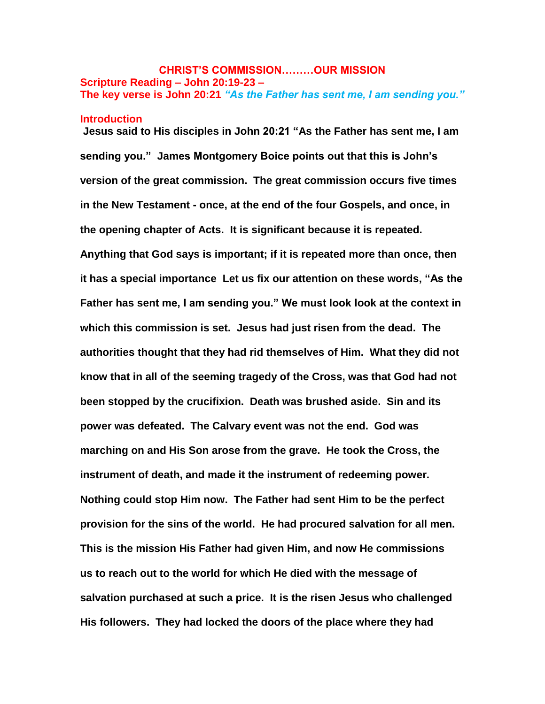# **CHRIST'S COMMISSION………OUR MISSION Scripture Reading – John 20:19-23 – The key verse is John 20:21** *"As the Father has sent me, I am sending you."*

#### **Introduction**

**Jesus said to His disciples in John 20:21 "As the Father has sent me, I am sending you." James Montgomery Boice points out that this is John's version of the great commission. The great commission occurs five times in the New Testament - once, at the end of the four Gospels, and once, in the opening chapter of Acts. It is significant because it is repeated. Anything that God says is important; if it is repeated more than once, then it has a special importance Let us fix our attention on these words, "As the Father has sent me, I am sending you." We must look look at the context in which this commission is set. Jesus had just risen from the dead. The authorities thought that they had rid themselves of Him. What they did not know that in all of the seeming tragedy of the Cross, was that God had not been stopped by the crucifixion. Death was brushed aside. Sin and its power was defeated. The Calvary event was not the end. God was marching on and His Son arose from the grave. He took the Cross, the instrument of death, and made it the instrument of redeeming power. Nothing could stop Him now. The Father had sent Him to be the perfect provision for the sins of the world. He had procured salvation for all men. This is the mission His Father had given Him, and now He commissions us to reach out to the world for which He died with the message of salvation purchased at such a price. It is the risen Jesus who challenged His followers. They had locked the doors of the place where they had**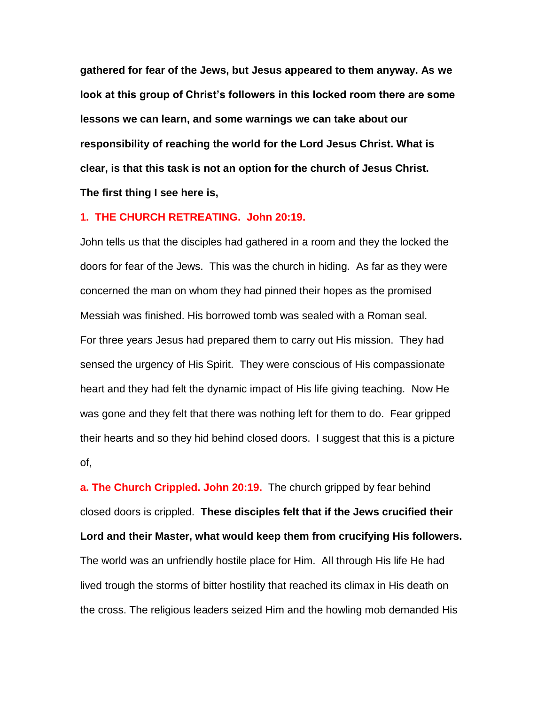**gathered for fear of the Jews, but Jesus appeared to them anyway. As we look at this group of Christ's followers in this locked room there are some lessons we can learn, and some warnings we can take about our responsibility of reaching the world for the Lord Jesus Christ. What is clear, is that this task is not an option for the church of Jesus Christ. The first thing I see here is,**

### **1. THE CHURCH RETREATING. John 20:19.**

John tells us that the disciples had gathered in a room and they the locked the doors for fear of the Jews. This was the church in hiding. As far as they were concerned the man on whom they had pinned their hopes as the promised Messiah was finished. His borrowed tomb was sealed with a Roman seal. For three years Jesus had prepared them to carry out His mission. They had sensed the urgency of His Spirit. They were conscious of His compassionate heart and they had felt the dynamic impact of His life giving teaching. Now He was gone and they felt that there was nothing left for them to do. Fear gripped their hearts and so they hid behind closed doors. I suggest that this is a picture of,

**a. The Church Crippled. John 20:19.** The church gripped by fear behind closed doors is crippled. **These disciples felt that if the Jews crucified their Lord and their Master, what would keep them from crucifying His followers.**  The world was an unfriendly hostile place for Him. All through His life He had lived trough the storms of bitter hostility that reached its climax in His death on the cross. The religious leaders seized Him and the howling mob demanded His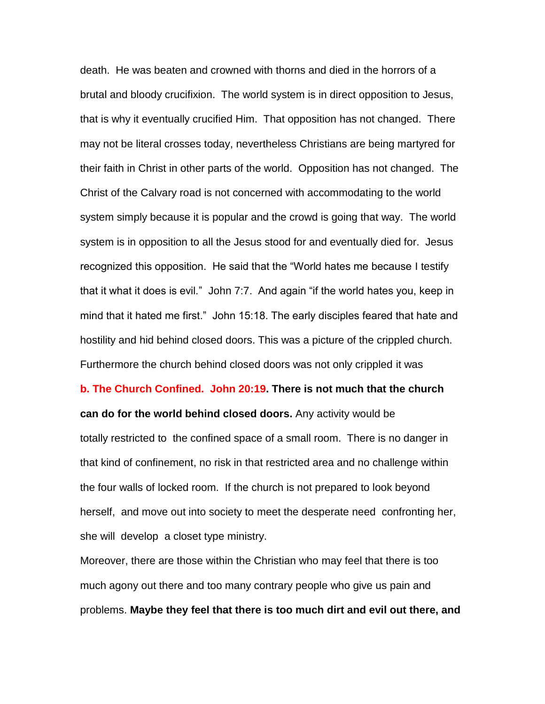death. He was beaten and crowned with thorns and died in the horrors of a brutal and bloody crucifixion. The world system is in direct opposition to Jesus, that is why it eventually crucified Him. That opposition has not changed. There may not be literal crosses today, nevertheless Christians are being martyred for their faith in Christ in other parts of the world. Opposition has not changed. The Christ of the Calvary road is not concerned with accommodating to the world system simply because it is popular and the crowd is going that way. The world system is in opposition to all the Jesus stood for and eventually died for. Jesus recognized this opposition. He said that the "World hates me because I testify that it what it does is evil." John 7:7. And again "if the world hates you, keep in mind that it hated me first." John 15:18. The early disciples feared that hate and hostility and hid behind closed doors. This was a picture of the crippled church. Furthermore the church behind closed doors was not only crippled it was

**b. The Church Confined. John 20:19. There is not much that the church can do for the world behind closed doors.** Any activity would be totally restricted to the confined space of a small room. There is no danger in that kind of confinement, no risk in that restricted area and no challenge within the four walls of locked room. If the church is not prepared to look beyond herself, and move out into society to meet the desperate need confronting her, she will develop a closet type ministry.

Moreover, there are those within the Christian who may feel that there is too much agony out there and too many contrary people who give us pain and problems. **Maybe they feel that there is too much dirt and evil out there, and**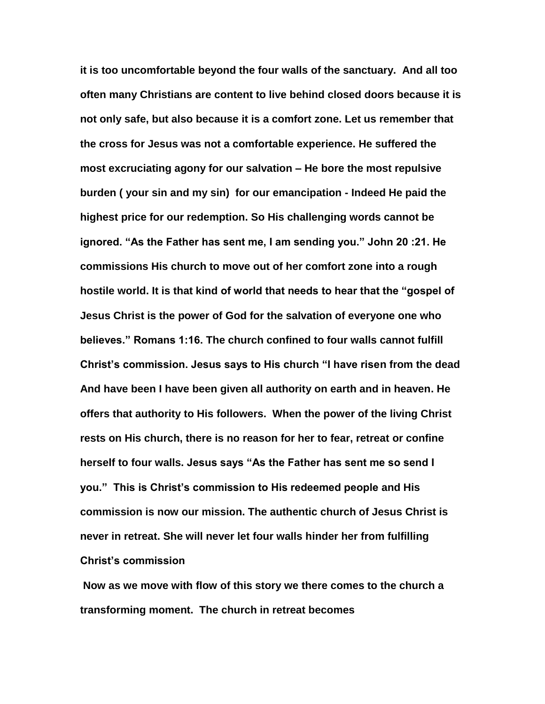**it is too uncomfortable beyond the four walls of the sanctuary. And all too often many Christians are content to live behind closed doors because it is not only safe, but also because it is a comfort zone. Let us remember that the cross for Jesus was not a comfortable experience. He suffered the most excruciating agony for our salvation – He bore the most repulsive burden ( your sin and my sin) for our emancipation - Indeed He paid the highest price for our redemption. So His challenging words cannot be ignored. "As the Father has sent me, I am sending you." John 20 :21. He commissions His church to move out of her comfort zone into a rough hostile world. It is that kind of world that needs to hear that the "gospel of Jesus Christ is the power of God for the salvation of everyone one who believes." Romans 1:16. The church confined to four walls cannot fulfill Christ's commission. Jesus says to His church "I have risen from the dead And have been I have been given all authority on earth and in heaven. He offers that authority to His followers. When the power of the living Christ rests on His church, there is no reason for her to fear, retreat or confine herself to four walls. Jesus says "As the Father has sent me so send I you." This is Christ's commission to His redeemed people and His commission is now our mission. The authentic church of Jesus Christ is never in retreat. She will never let four walls hinder her from fulfilling Christ's commission**

**Now as we move with flow of this story we there comes to the church a transforming moment. The church in retreat becomes**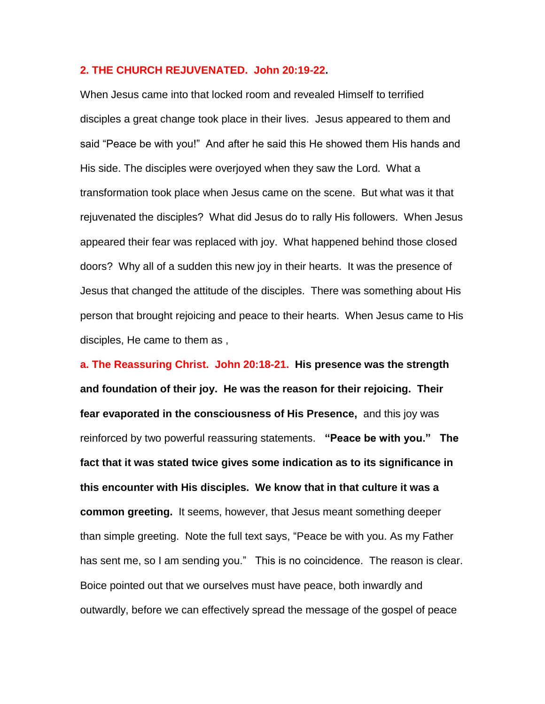## **2. THE CHURCH REJUVENATED. John 20:19-22.**

When Jesus came into that locked room and revealed Himself to terrified disciples a great change took place in their lives. Jesus appeared to them and said "Peace be with you!" And after he said this He showed them His hands and His side. The disciples were overjoyed when they saw the Lord. What a transformation took place when Jesus came on the scene. But what was it that rejuvenated the disciples? What did Jesus do to rally His followers. When Jesus appeared their fear was replaced with joy. What happened behind those closed doors? Why all of a sudden this new joy in their hearts. It was the presence of Jesus that changed the attitude of the disciples. There was something about His person that brought rejoicing and peace to their hearts. When Jesus came to His disciples, He came to them as ,

**a. The Reassuring Christ. John 20:18-21. His presence was the strength and foundation of their joy. He was the reason for their rejoicing. Their fear evaporated in the consciousness of His Presence,** and this joy was reinforced by two powerful reassuring statements. **"Peace be with you." The fact that it was stated twice gives some indication as to its significance in this encounter with His disciples. We know that in that culture it was a common greeting.** It seems, however, that Jesus meant something deeper than simple greeting. Note the full text says, "Peace be with you. As my Father has sent me, so I am sending you." This is no coincidence. The reason is clear. Boice pointed out that we ourselves must have peace, both inwardly and outwardly, before we can effectively spread the message of the gospel of peace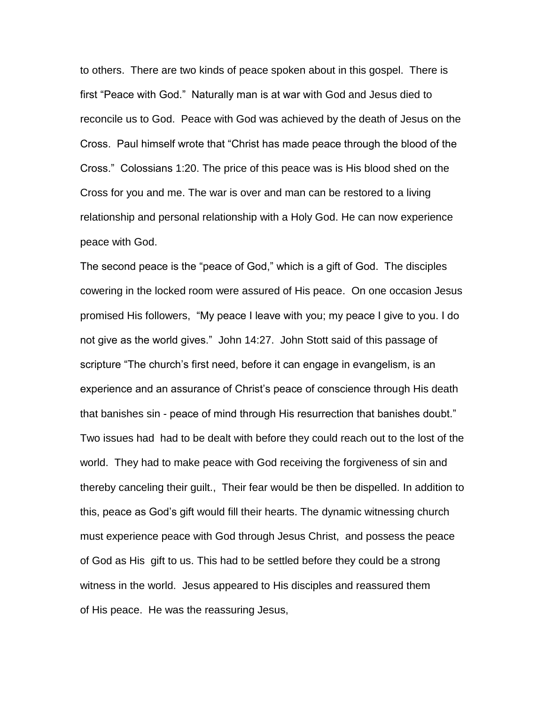to others. There are two kinds of peace spoken about in this gospel. There is first "Peace with God." Naturally man is at war with God and Jesus died to reconcile us to God. Peace with God was achieved by the death of Jesus on the Cross. Paul himself wrote that "Christ has made peace through the blood of the Cross." Colossians 1:20. The price of this peace was is His blood shed on the Cross for you and me. The war is over and man can be restored to a living relationship and personal relationship with a Holy God. He can now experience peace with God.

The second peace is the "peace of God," which is a gift of God. The disciples cowering in the locked room were assured of His peace. On one occasion Jesus promised His followers, "My peace I leave with you; my peace I give to you. I do not give as the world gives." John 14:27. John Stott said of this passage of scripture "The church's first need, before it can engage in evangelism, is an experience and an assurance of Christ's peace of conscience through His death that banishes sin - peace of mind through His resurrection that banishes doubt." Two issues had had to be dealt with before they could reach out to the lost of the world. They had to make peace with God receiving the forgiveness of sin and thereby canceling their guilt., Their fear would be then be dispelled. In addition to this, peace as God's gift would fill their hearts. The dynamic witnessing church must experience peace with God through Jesus Christ, and possess the peace of God as His gift to us. This had to be settled before they could be a strong witness in the world. Jesus appeared to His disciples and reassured them of His peace. He was the reassuring Jesus,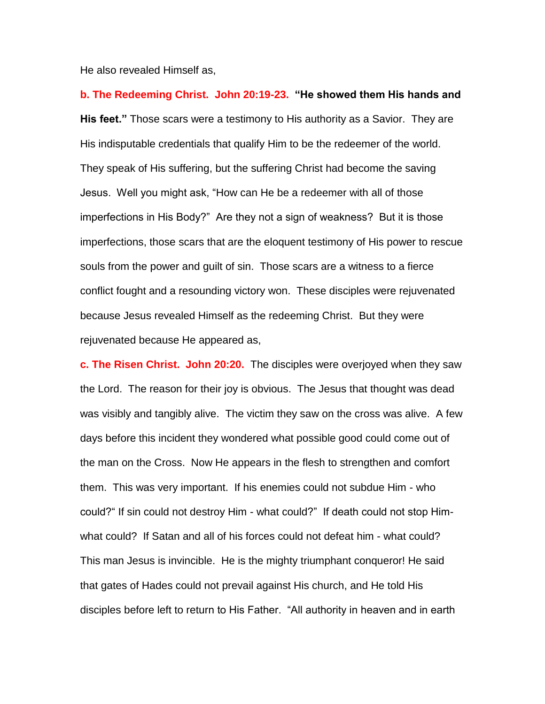He also revealed Himself as,

**b. The Redeeming Christ. John 20:19-23. "He showed them His hands and His feet."** Those scars were a testimony to His authority as a Savior. They are His indisputable credentials that qualify Him to be the redeemer of the world. They speak of His suffering, but the suffering Christ had become the saving Jesus. Well you might ask, "How can He be a redeemer with all of those imperfections in His Body?" Are they not a sign of weakness? But it is those imperfections, those scars that are the eloquent testimony of His power to rescue souls from the power and guilt of sin. Those scars are a witness to a fierce conflict fought and a resounding victory won. These disciples were rejuvenated because Jesus revealed Himself as the redeeming Christ. But they were rejuvenated because He appeared as,

**c. The Risen Christ. John 20:20.** The disciples were overjoyed when they saw the Lord. The reason for their joy is obvious. The Jesus that thought was dead was visibly and tangibly alive. The victim they saw on the cross was alive. A few days before this incident they wondered what possible good could come out of the man on the Cross. Now He appears in the flesh to strengthen and comfort them. This was very important. If his enemies could not subdue Him - who could?" If sin could not destroy Him - what could?" If death could not stop Himwhat could? If Satan and all of his forces could not defeat him - what could? This man Jesus is invincible. He is the mighty triumphant conqueror! He said that gates of Hades could not prevail against His church, and He told His disciples before left to return to His Father. "All authority in heaven and in earth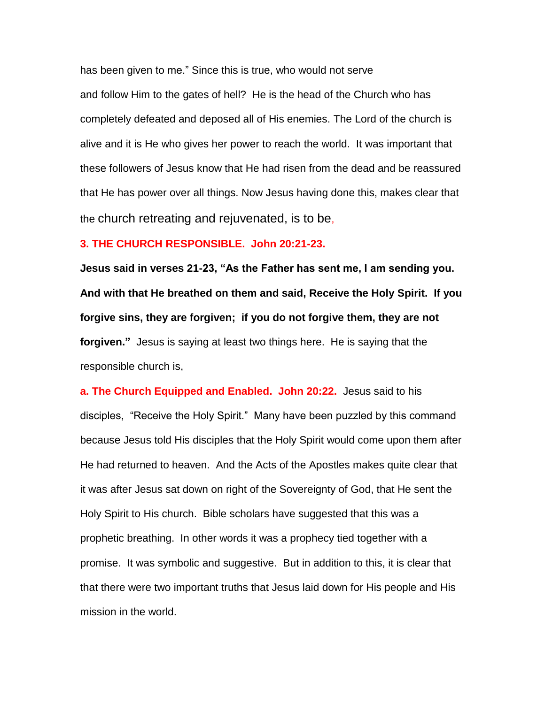has been given to me." Since this is true, who would not serve and follow Him to the gates of hell? He is the head of the Church who has completely defeated and deposed all of His enemies. The Lord of the church is alive and it is He who gives her power to reach the world. It was important that these followers of Jesus know that He had risen from the dead and be reassured that He has power over all things. Now Jesus having done this, makes clear that the church retreating and rejuvenated, is to be,

## **3. THE CHURCH RESPONSIBLE. John 20:21-23.**

**Jesus said in verses 21-23, "As the Father has sent me, I am sending you. And with that He breathed on them and said, Receive the Holy Spirit. If you forgive sins, they are forgiven; if you do not forgive them, they are not forgiven."** Jesus is saying at least two things here. He is saying that the responsible church is,

**a. The Church Equipped and Enabled. John 20:22.** Jesus said to his disciples, "Receive the Holy Spirit." Many have been puzzled by this command because Jesus told His disciples that the Holy Spirit would come upon them after He had returned to heaven. And the Acts of the Apostles makes quite clear that it was after Jesus sat down on right of the Sovereignty of God, that He sent the Holy Spirit to His church. Bible scholars have suggested that this was a prophetic breathing. In other words it was a prophecy tied together with a promise. It was symbolic and suggestive. But in addition to this, it is clear that that there were two important truths that Jesus laid down for His people and His mission in the world.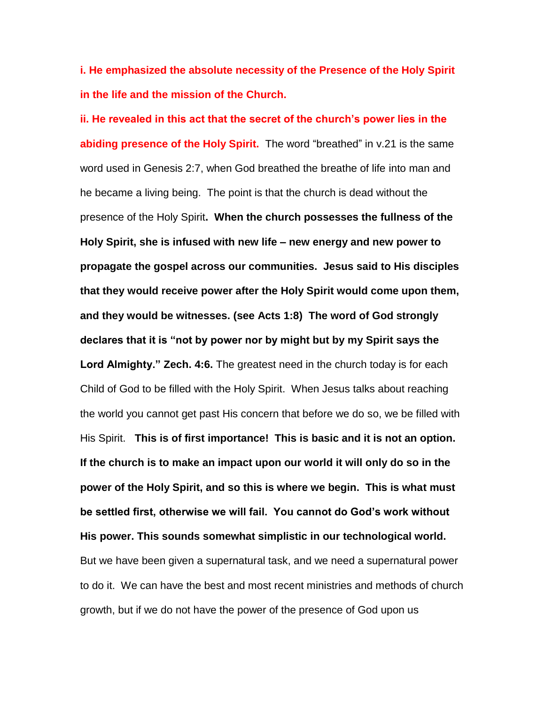**i. He emphasized the absolute necessity of the Presence of the Holy Spirit in the life and the mission of the Church.**

**ii. He revealed in this act that the secret of the church's power lies in the abiding presence of the Holy Spirit.** The word "breathed" in v.21 is the same word used in Genesis 2:7, when God breathed the breathe of life into man and he became a living being. The point is that the church is dead without the presence of the Holy Spirit**. When the church possesses the fullness of the Holy Spirit, she is infused with new life – new energy and new power to propagate the gospel across our communities. Jesus said to His disciples that they would receive power after the Holy Spirit would come upon them, and they would be witnesses. (see Acts 1:8) The word of God strongly declares that it is "not by power nor by might but by my Spirit says the Lord Almighty." Zech. 4:6.** The greatest need in the church today is for each Child of God to be filled with the Holy Spirit. When Jesus talks about reaching the world you cannot get past His concern that before we do so, we be filled with His Spirit. **This is of first importance! This is basic and it is not an option. If the church is to make an impact upon our world it will only do so in the power of the Holy Spirit, and so this is where we begin. This is what must be settled first, otherwise we will fail. You cannot do God's work without His power. This sounds somewhat simplistic in our technological world.**  But we have been given a supernatural task, and we need a supernatural power to do it. We can have the best and most recent ministries and methods of church growth, but if we do not have the power of the presence of God upon us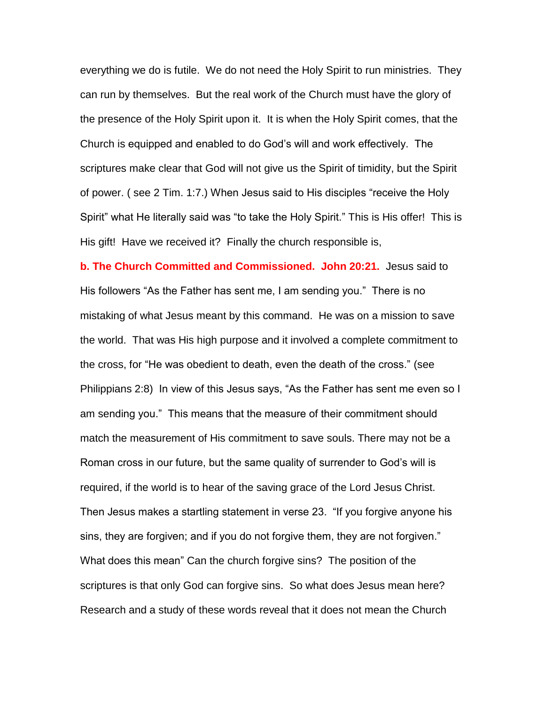everything we do is futile. We do not need the Holy Spirit to run ministries. They can run by themselves. But the real work of the Church must have the glory of the presence of the Holy Spirit upon it. It is when the Holy Spirit comes, that the Church is equipped and enabled to do God's will and work effectively. The scriptures make clear that God will not give us the Spirit of timidity, but the Spirit of power. ( see 2 Tim. 1:7.) When Jesus said to His disciples "receive the Holy Spirit" what He literally said was "to take the Holy Spirit." This is His offer! This is His gift! Have we received it? Finally the church responsible is,

**b. The Church Committed and Commissioned. John 20:21.** Jesus said to His followers "As the Father has sent me, I am sending you." There is no mistaking of what Jesus meant by this command. He was on a mission to save the world. That was His high purpose and it involved a complete commitment to the cross, for "He was obedient to death, even the death of the cross." (see Philippians 2:8) In view of this Jesus says, "As the Father has sent me even so I am sending you." This means that the measure of their commitment should match the measurement of His commitment to save souls. There may not be a Roman cross in our future, but the same quality of surrender to God's will is required, if the world is to hear of the saving grace of the Lord Jesus Christ. Then Jesus makes a startling statement in verse 23. "If you forgive anyone his sins, they are forgiven; and if you do not forgive them, they are not forgiven." What does this mean" Can the church forgive sins? The position of the scriptures is that only God can forgive sins. So what does Jesus mean here? Research and a study of these words reveal that it does not mean the Church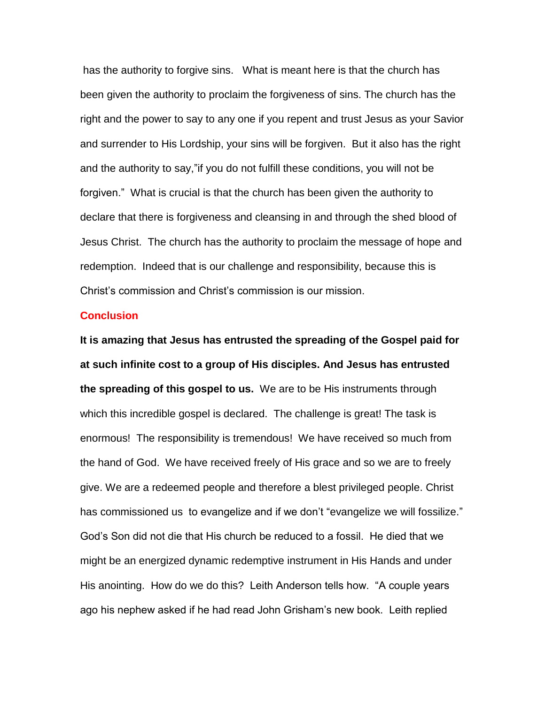has the authority to forgive sins. What is meant here is that the church has been given the authority to proclaim the forgiveness of sins. The church has the right and the power to say to any one if you repent and trust Jesus as your Savior and surrender to His Lordship, your sins will be forgiven. But it also has the right and the authority to say,"if you do not fulfill these conditions, you will not be forgiven." What is crucial is that the church has been given the authority to declare that there is forgiveness and cleansing in and through the shed blood of Jesus Christ. The church has the authority to proclaim the message of hope and redemption. Indeed that is our challenge and responsibility, because this is Christ's commission and Christ's commission is our mission.

#### **Conclusion**

**It is amazing that Jesus has entrusted the spreading of the Gospel paid for at such infinite cost to a group of His disciples. And Jesus has entrusted the spreading of this gospel to us.** We are to be His instruments through which this incredible gospel is declared. The challenge is great! The task is enormous! The responsibility is tremendous! We have received so much from the hand of God. We have received freely of His grace and so we are to freely give. We are a redeemed people and therefore a blest privileged people. Christ has commissioned us to evangelize and if we don't "evangelize we will fossilize." God's Son did not die that His church be reduced to a fossil. He died that we might be an energized dynamic redemptive instrument in His Hands and under His anointing. How do we do this? Leith Anderson tells how. "A couple years ago his nephew asked if he had read John Grisham's new book. Leith replied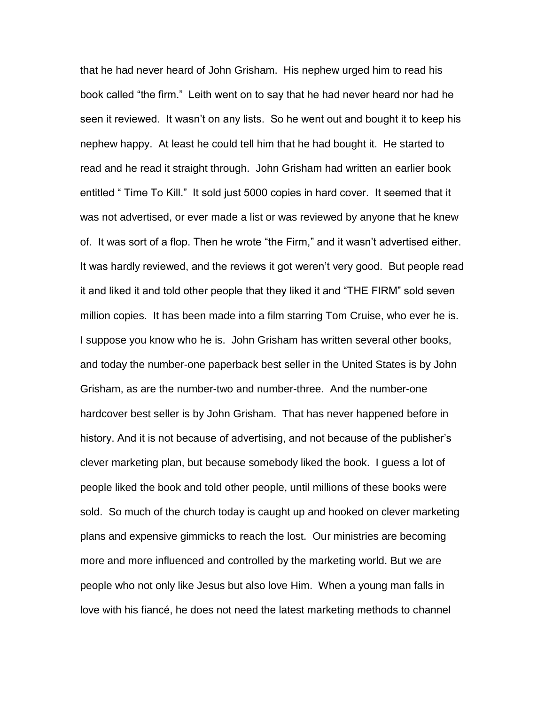that he had never heard of John Grisham. His nephew urged him to read his book called "the firm." Leith went on to say that he had never heard nor had he seen it reviewed. It wasn't on any lists. So he went out and bought it to keep his nephew happy. At least he could tell him that he had bought it. He started to read and he read it straight through. John Grisham had written an earlier book entitled " Time To Kill." It sold just 5000 copies in hard cover. It seemed that it was not advertised, or ever made a list or was reviewed by anyone that he knew of. It was sort of a flop. Then he wrote "the Firm," and it wasn't advertised either. It was hardly reviewed, and the reviews it got weren't very good. But people read it and liked it and told other people that they liked it and "THE FIRM" sold seven million copies. It has been made into a film starring Tom Cruise, who ever he is. I suppose you know who he is. John Grisham has written several other books, and today the number-one paperback best seller in the United States is by John Grisham, as are the number-two and number-three. And the number-one hardcover best seller is by John Grisham. That has never happened before in history. And it is not because of advertising, and not because of the publisher's clever marketing plan, but because somebody liked the book. I guess a lot of people liked the book and told other people, until millions of these books were sold. So much of the church today is caught up and hooked on clever marketing plans and expensive gimmicks to reach the lost. Our ministries are becoming more and more influenced and controlled by the marketing world. But we are people who not only like Jesus but also love Him. When a young man falls in love with his fiancé, he does not need the latest marketing methods to channel